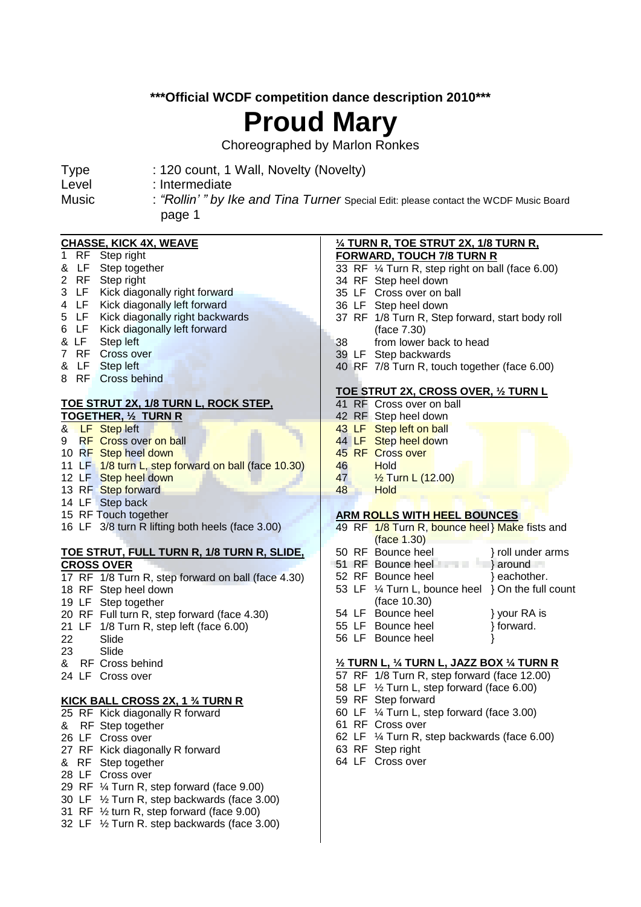## **\*\*\*Official WCDF competition dance description 2010\*\*\***

# **Proud Mary**

Choreographed by Marlon Ronkes

- Type : 120 count, 1 Wall, Novelty (Novelty)<br>Level : Intermediate
- Level : Intermediate<br>
Music : "Rollin'" by la

 $\overline{a}$ 

: "Rollin' " by Ike and Tina Turner Special Edit: please contact the WCDF Music Board page 1

| <b>CHASSE, KICK 4X, WEAVE</b> |                                                     | <b>1/4 TURN R, TOE STRUT 2X, 1/8 TURN R,</b> |  |                                                                           |                   |
|-------------------------------|-----------------------------------------------------|----------------------------------------------|--|---------------------------------------------------------------------------|-------------------|
| 1                             | RF Step right                                       |                                              |  | <b>FORWARD, TOUCH 7/8 TURN R</b>                                          |                   |
| & LF                          | Step together                                       |                                              |  | 33 RF 1/4 Turn R, step right on ball (face 6.00)                          |                   |
| $2^{\circ}$<br><b>RF</b>      | Step right                                          |                                              |  | 34 RF Step heel down                                                      |                   |
| 3<br>LF                       | Kick diagonally right forward                       |                                              |  | 35 LF Cross over on ball                                                  |                   |
| LF.<br>4                      | Kick diagonally left forward                        |                                              |  | 36 LF Step heel down                                                      |                   |
| 5 LF                          | Kick diagonally right backwards                     |                                              |  | 37 RF 1/8 Turn R, Step forward, start body roll                           |                   |
| LF.<br>6                      | Kick diagonally left forward                        |                                              |  | (face 7.30)                                                               |                   |
| & LF                          | Step left                                           | 38                                           |  | from lower back to head                                                   |                   |
| $\overline{7}$                | RF Cross over                                       |                                              |  | 39 LF Step backwards                                                      |                   |
|                               | & LF Step left                                      |                                              |  | 40 RF 7/8 Turn R, touch together (face 6.00)                              |                   |
|                               | 8 RF Cross behind                                   |                                              |  |                                                                           |                   |
|                               |                                                     |                                              |  | <b>TOE STRUT 2X, CROSS OVER, 1/2 TURN L</b>                               |                   |
|                               | TOE STRUT 2X, 1/8 TURN L, ROCK STEP,                |                                              |  | 41 RF Cross over on ball                                                  |                   |
|                               |                                                     |                                              |  |                                                                           |                   |
|                               | <b>TOGETHER, 1/2 TURN R</b>                         |                                              |  | 42 RF Step heel down                                                      |                   |
|                               | & LF Step left                                      |                                              |  | 43 LF Step left on ball                                                   |                   |
| 9                             | <b>RF</b> Cross over on ball                        |                                              |  | 44 LF Step heel down                                                      |                   |
|                               | 10 RF Step heel down                                |                                              |  | 45 RF Cross over                                                          |                   |
|                               | 11 LF 1/8 turn L, step forward on ball (face 10.30) | 46                                           |  | <b>Hold</b>                                                               |                   |
|                               | 12 LF Step heel down                                | 47                                           |  | 1/2 Turn L (12.00)                                                        |                   |
|                               | 13 RF Step forward                                  | 48                                           |  | <b>Hold</b>                                                               |                   |
|                               | 14 LF Step back                                     |                                              |  |                                                                           |                   |
|                               | 15 RF Touch together                                |                                              |  | ARM ROLLS WITH HEEL BOUNCES                                               |                   |
|                               | 16 LF 3/8 turn R lifting both heels (face 3.00)     |                                              |  | 49 RF 1/8 Turn R, bounce heel } Make fists and                            |                   |
|                               |                                                     |                                              |  | (face 1.30)                                                               |                   |
|                               | <u>TOE STRUT, FULL TURN R, 1/8 TURN R, SLIDE,</u>   |                                              |  | 50 RF Bounce heel                                                         | } roll under arms |
|                               | <b>CROSS OVER</b>                                   |                                              |  | 51 RF Bounce heel a around                                                |                   |
|                               | 17 RF 1/8 Turn R, step forward on ball (face 4.30)  |                                              |  | 52 RF Bounce heel                                                         | } eachother.      |
|                               | 18 RF Step heel down                                |                                              |  | 53 LF 1/4 Turn L, bounce heel 3 On the full count                         |                   |
|                               | 19 LF Step together                                 |                                              |  | (face 10.30)                                                              |                   |
|                               | 20 RF Full turn R, step forward (face 4.30)         |                                              |  | 54 LF Bounce heel                                                         | } your RA is      |
|                               | 21 LF 1/8 Turn R, step left (face 6.00)             |                                              |  | 55 LF Bounce heel                                                         | } forward.        |
| 22                            | Slide                                               |                                              |  | 56 LF Bounce heel                                                         |                   |
| 23                            | Slide                                               |                                              |  |                                                                           |                   |
| &                             | <b>RF Cross behind</b>                              |                                              |  | $\frac{1}{2}$ TURN L, $\frac{1}{4}$ TURN L, JAZZ BOX $\frac{1}{4}$ TURN R |                   |
|                               | 24 LF Cross over                                    |                                              |  | 57 RF 1/8 Turn R, step forward (face 12.00)                               |                   |
|                               |                                                     |                                              |  | 58 LF 1/2 Turn L, step forward (face 6.00)                                |                   |
|                               | <u>KICK BALL CROSS 2X, 1 3⁄4 TURN R</u>             |                                              |  | 59 RF Step forward                                                        |                   |
|                               | 25 RF Kick diagonally R forward                     |                                              |  | 60 LF 1/4 Turn L, step forward (face 3.00)                                |                   |
| ଝ                             | RF Step together                                    |                                              |  | 61 RF Cross over                                                          |                   |
|                               | 26 LF Cross over                                    |                                              |  | 62 LF 1/4 Turn R, step backwards (face 6.00)                              |                   |
|                               | 27 RF Kick diagonally R forward                     |                                              |  | 63 RF Step right                                                          |                   |
|                               | & RF Step together                                  |                                              |  | 64 LF Cross over                                                          |                   |
|                               | 28 LF Cross over                                    |                                              |  |                                                                           |                   |
|                               | 29 RF 1/4 Turn R, step forward (face 9.00)          |                                              |  |                                                                           |                   |
|                               | 30 LF 1/2 Turn R, step backwards (face 3.00)        |                                              |  |                                                                           |                   |
|                               | 31 RF 1/2 turn R, step forward (face 9.00)          |                                              |  |                                                                           |                   |
|                               | 32 LF 1/2 Turn R. step backwards (face 3.00)        |                                              |  |                                                                           |                   |
|                               |                                                     |                                              |  |                                                                           |                   |